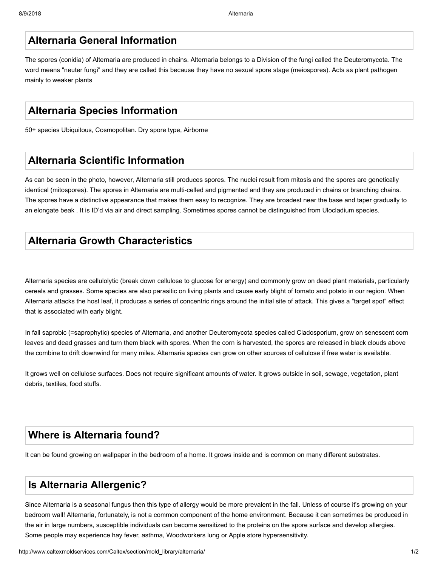# **Alternaria General Information**

The spores (conidia) of Alternaria are produced in chains. Alternaria belongs to a Division of the fungi called the Deuteromycota. The word means "neuter fungi" and they are called this because they have no sexual spore stage (meiospores). Acts as plant pathogen mainly to weaker plants

# **Alternaria Species Information**

50+ species Ubiquitous, Cosmopolitan. Dry spore type, Airborne

#### **Alternaria Scientific Information**

As can be seen in the photo, however, Alternaria still produces spores. The nuclei result from mitosis and the spores are genetically identical (mitospores). The spores in Alternaria are multi-celled and pigmented and they are produced in chains or branching chains. The spores have a distinctive appearance that makes them easy to recognize. They are broadest near the base and taper gradually to an elongate beak . It is ID'd via air and direct sampling. Sometimes spores cannot be distinguished from Ulocladium species.

## **Alternaria Growth Characteristics**

Alternaria species are cellulolytic (break down cellulose to glucose for energy) and commonly grow on dead plant materials, particularly cereals and grasses. Some species are also parasitic on living plants and cause early blight of tomato and potato in our region. When Alternaria attacks the host leaf, it produces a series of concentric rings around the initial site of attack. This gives a "target spot" effect that is associated with early blight.

In fall saprobic (=saprophytic) species of Alternaria, and another Deuteromycota species called Cladosporium, grow on senescent corn leaves and dead grasses and turn them black with spores. When the corn is harvested, the spores are released in black clouds above the combine to drift downwind for many miles. Alternaria species can grow on other sources of cellulose if free water is available.

It grows well on cellulose surfaces. Does not require significant amounts of water. It grows outside in soil, sewage, vegetation, plant debris, textiles, food stuffs.

# **Where is Alternaria found?**

It can be found growing on wallpaper in the bedroom of a home. It grows inside and is common on many different substrates.

#### **Is Alternaria Allergenic?**

Since Alternaria is a seasonal fungus then this type of allergy would be more prevalent in the fall. Unless of course it's growing on your bedroom wall! Alternaria, fortunately, is not a common component of the home environment. Because it can sometimes be produced in the air in large numbers, susceptible individuals can become sensitized to the proteins on the spore surface and develop allergies. Some people may experience hay fever, asthma, Woodworkers lung or Apple store hypersensitivity.